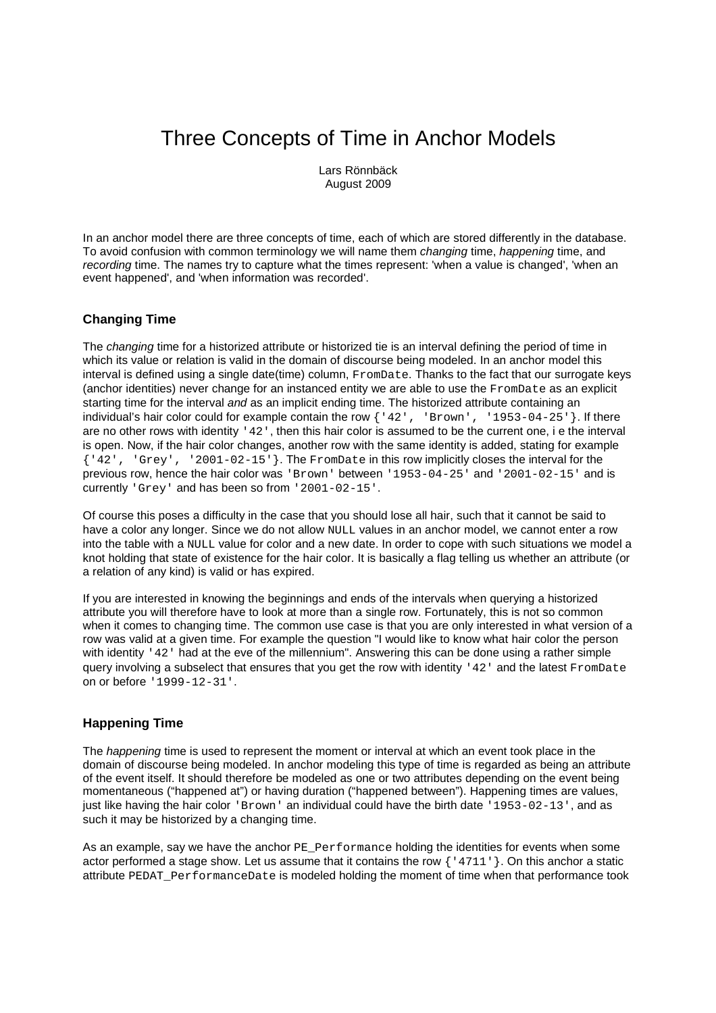# Three Concepts of Time in Anchor Models

Lars Rönnbäck August 2009

In an anchor model there are three concepts of time, each of which are stored differently in the database. To avoid confusion with common terminology we will name them changing time, happening time, and recording time. The names try to capture what the times represent: 'when a value is changed', 'when an event happened', and 'when information was recorded'.

# **Changing Time**

The *changing* time for a historized attribute or historized tie is an interval defining the period of time in which its value or relation is valid in the domain of discourse being modeled. In an anchor model this interval is defined using a single date(time) column, FromDate. Thanks to the fact that our surrogate keys (anchor identities) never change for an instanced entity we are able to use the FromDate as an explicit starting time for the interval and as an implicit ending time. The historized attribute containing an individual's hair color could for example contain the row  $\{142\}$ ,  $\{142\}$ ,  $\{187, 1953-04-25\}$ . If there are no other rows with identity '42', then this hair color is assumed to be the current one, i e the interval is open. Now, if the hair color changes, another row with the same identity is added, stating for example {'42', 'Grey', '2001-02-15'}. The FromDate in this row implicitly closes the interval for the previous row, hence the hair color was 'Brown' between '1953-04-25' and '2001-02-15' and is currently 'Grey' and has been so from '2001-02-15'.

Of course this poses a difficulty in the case that you should lose all hair, such that it cannot be said to have a color any longer. Since we do not allow NULL values in an anchor model, we cannot enter a row into the table with a NULL value for color and a new date. In order to cope with such situations we model a knot holding that state of existence for the hair color. It is basically a flag telling us whether an attribute (or a relation of any kind) is valid or has expired.

If you are interested in knowing the beginnings and ends of the intervals when querying a historized attribute you will therefore have to look at more than a single row. Fortunately, this is not so common when it comes to changing time. The common use case is that you are only interested in what version of a row was valid at a given time. For example the question "I would like to know what hair color the person with identity '42' had at the eve of the millennium". Answering this can be done using a rather simple query involving a subselect that ensures that you get the row with identity '42' and the latest FromDate on or before '1999-12-31'.

### **Happening Time**

The *happening* time is used to represent the moment or interval at which an event took place in the domain of discourse being modeled. In anchor modeling this type of time is regarded as being an attribute of the event itself. It should therefore be modeled as one or two attributes depending on the event being momentaneous ("happened at") or having duration ("happened between"). Happening times are values, just like having the hair color 'Brown' an individual could have the birth date '1953-02-13', and as such it may be historized by a changing time.

As an example, say we have the anchor PE\_Performance holding the identities for events when some actor performed a stage show. Let us assume that it contains the row {'4711'}. On this anchor a static attribute PEDAT\_PerformanceDate is modeled holding the moment of time when that performance took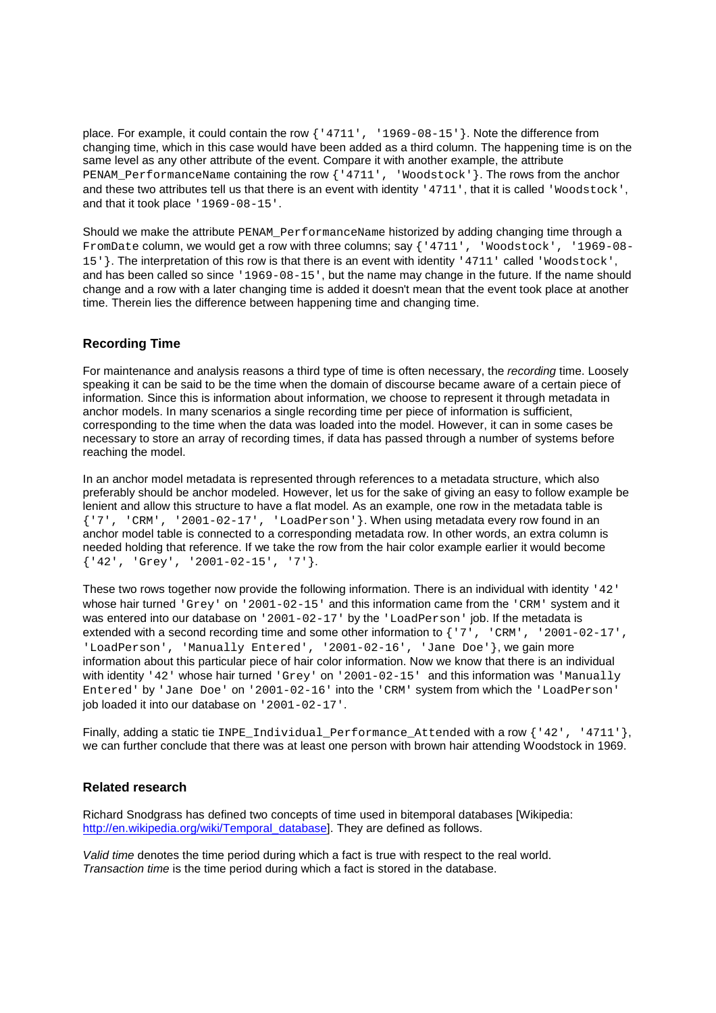place. For example, it could contain the row  $\{14711, 1969 - 08 - 15\}$ . Note the difference from changing time, which in this case would have been added as a third column. The happening time is on the same level as any other attribute of the event. Compare it with another example, the attribute PENAM\_PerformanceName containing the row {'4711', 'Woodstock'}. The rows from the anchor and these two attributes tell us that there is an event with identity '4711', that it is called 'Woodstock', and that it took place '1969-08-15'.

Should we make the attribute PENAM PerformanceName historized by adding changing time through a FromDate column, we would get a row with three columns; say {'4711', 'Woodstock', '1969-08-15'}. The interpretation of this row is that there is an event with identity '4711' called 'Woodstock', and has been called so since '1969-08-15', but the name may change in the future. If the name should change and a row with a later changing time is added it doesn't mean that the event took place at another time. Therein lies the difference between happening time and changing time.

# **Recording Time**

For maintenance and analysis reasons a third type of time is often necessary, the recording time. Loosely speaking it can be said to be the time when the domain of discourse became aware of a certain piece of information. Since this is information about information, we choose to represent it through metadata in anchor models. In many scenarios a single recording time per piece of information is sufficient, corresponding to the time when the data was loaded into the model. However, it can in some cases be necessary to store an array of recording times, if data has passed through a number of systems before reaching the model.

In an anchor model metadata is represented through references to a metadata structure, which also preferably should be anchor modeled. However, let us for the sake of giving an easy to follow example be lenient and allow this structure to have a flat model. As an example, one row in the metadata table is {'7', 'CRM', '2001-02-17', 'LoadPerson'}. When using metadata every row found in an anchor model table is connected to a corresponding metadata row. In other words, an extra column is needed holding that reference. If we take the row from the hair color example earlier it would become {'42', 'Grey', '2001-02-15', '7'}.

These two rows together now provide the following information. There is an individual with identity '42' whose hair turned 'Grey' on '2001-02-15' and this information came from the 'CRM' system and it was entered into our database on '2001-02-17' by the 'LoadPerson' job. If the metadata is extended with a second recording time and some other information to {'7', 'CRM', '2001-02-17', 'LoadPerson', 'Manually Entered', '2001-02-16', 'Jane Doe'}, we gain more information about this particular piece of hair color information. Now we know that there is an individual with identity '42' whose hair turned 'Grey' on '2001-02-15' and this information was 'Manually Entered' by 'Jane Doe' on '2001-02-16' into the 'CRM' system from which the 'LoadPerson' job loaded it into our database on '2001-02-17'.

Finally, adding a static tie INPE Individual Performance Attended with a row  $\{42', -4711'\}$ , we can further conclude that there was at least one person with brown hair attending Woodstock in 1969.

### **Related research**

Richard Snodgrass has defined two concepts of time used in bitemporal databases [Wikipedia: http://en.wikipedia.org/wiki/Temporal\_database]. They are defined as follows.

Valid time denotes the time period during which a fact is true with respect to the real world. Transaction time is the time period during which a fact is stored in the database.